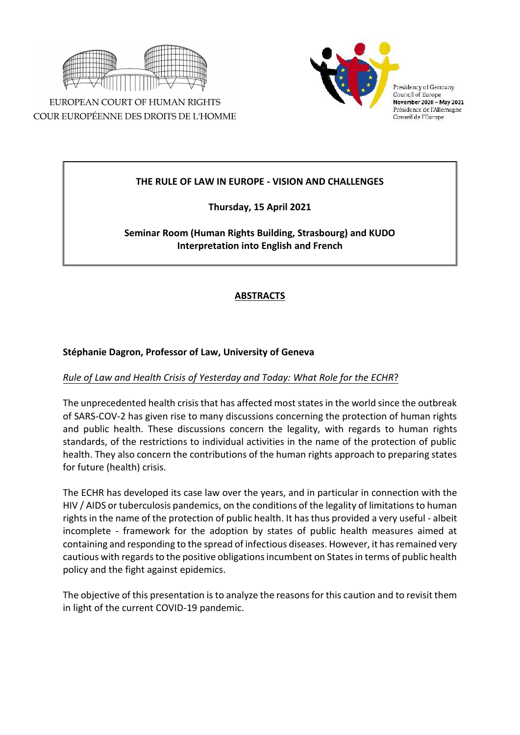

EUROPEAN COURT OF HUMAN RIGHTS COUR EUROPÉENNE DES DROITS DE L'HOMME



Presidency of Germany Council of Europe November 2020 - May 2021 Présidence de l'Allemagne Conseil de l'Europe

### **THE RULE OF LAW IN EUROPE - VISION AND CHALLENGES**

**Thursday, 15 April 2021**

# **Seminar Room (Human Rights Building, Strasbourg) and KUDO Interpretation into English and French**

# **ABSTRACTS**

### **Stéphanie Dagron, Professor of Law, University of Geneva**

### *Rule of Law and Health Crisis of Yesterday and Today: What Role for the ECHR*?

The unprecedented health crisis that has affected most states in the world since the outbreak of SARS-COV-2 has given rise to many discussions concerning the protection of human rights and public health. These discussions concern the legality, with regards to human rights standards, of the restrictions to individual activities in the name of the protection of public health. They also concern the contributions of the human rights approach to preparing states for future (health) crisis.

The ECHR has developed its case law over the years, and in particular in connection with the HIV / AIDS or tuberculosis pandemics, on the conditions of the legality of limitations to human rights in the name of the protection of public health. It has thus provided a very useful - albeit incomplete - framework for the adoption by states of public health measures aimed at containing and responding to the spread of infectious diseases. However, it has remained very cautious with regards to the positive obligations incumbent on States in terms of public health policy and the fight against epidemics.

The objective of this presentation is to analyze the reasons for this caution and to revisit them in light of the current COVID-19 pandemic.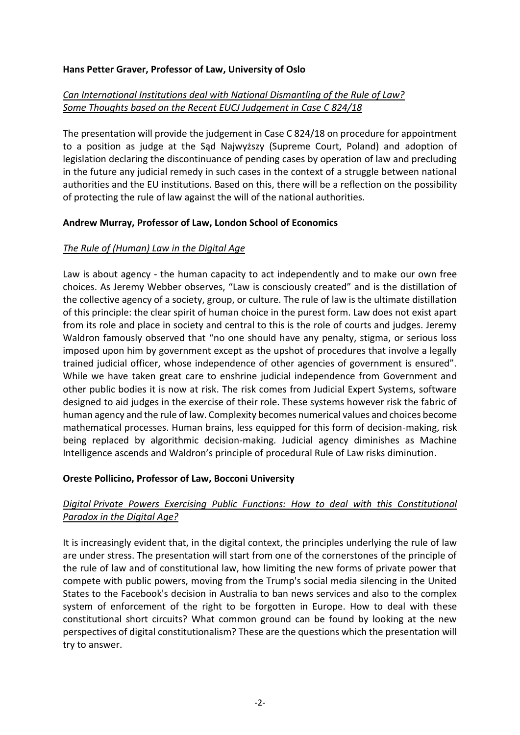#### **Hans Petter Graver, Professor of Law, University of Oslo**

## *Can International Institutions deal with National Dismantling of the Rule of Law? Some Thoughts based on the Recent EUCJ Judgement in Case C 824/18*

The presentation will provide the judgement in Case C 824/18 on procedure for appointment to a position as judge at the Sąd Najwyższy (Supreme Court, Poland) and adoption of legislation declaring the discontinuance of pending cases by operation of law and precluding in the future any judicial remedy in such cases in the context of a struggle between national authorities and the EU institutions. Based on this, there will be a reflection on the possibility of protecting the rule of law against the will of the national authorities.

#### **Andrew Murray, Professor of Law, London School of Economics**

### *The Rule of (Human) Law in the Digital Age*

Law is about agency - the human capacity to act independently and to make our own free choices. As Jeremy Webber observes, "Law is consciously created" and is the distillation of the collective agency of a society, group, or culture. The rule of law is the ultimate distillation of this principle: the clear spirit of human choice in the purest form. Law does not exist apart from its role and place in society and central to this is the role of courts and judges. Jeremy Waldron famously observed that "no one should have any penalty, stigma, or serious loss imposed upon him by government except as the upshot of procedures that involve a legally trained judicial officer, whose independence of other agencies of government is ensured". While we have taken great care to enshrine judicial independence from Government and other public bodies it is now at risk. The risk comes from Judicial Expert Systems, software designed to aid judges in the exercise of their role. These systems however risk the fabric of human agency and the rule of law. Complexity becomes numerical values and choices become mathematical processes. Human brains, less equipped for this form of decision-making, risk being replaced by algorithmic decision-making. Judicial agency diminishes as Machine Intelligence ascends and Waldron's principle of procedural Rule of Law risks diminution.

### **Oreste Pollicino, Professor of Law, Bocconi University**

## *Digital Private Powers Exercising Public Functions: How to deal with this Constitutional Paradox in the Digital Age?*

It is increasingly evident that, in the digital context, the principles underlying the rule of law are under stress. The presentation will start from one of the cornerstones of the principle of the rule of law and of constitutional law, how limiting the new forms of private power that compete with public powers, moving from the Trump's social media silencing in the United States to the Facebook's decision in Australia to ban news services and also to the complex system of enforcement of the right to be forgotten in Europe. How to deal with these constitutional short circuits? What common ground can be found by looking at the new perspectives of digital constitutionalism? These are the questions which the presentation will try to answer.